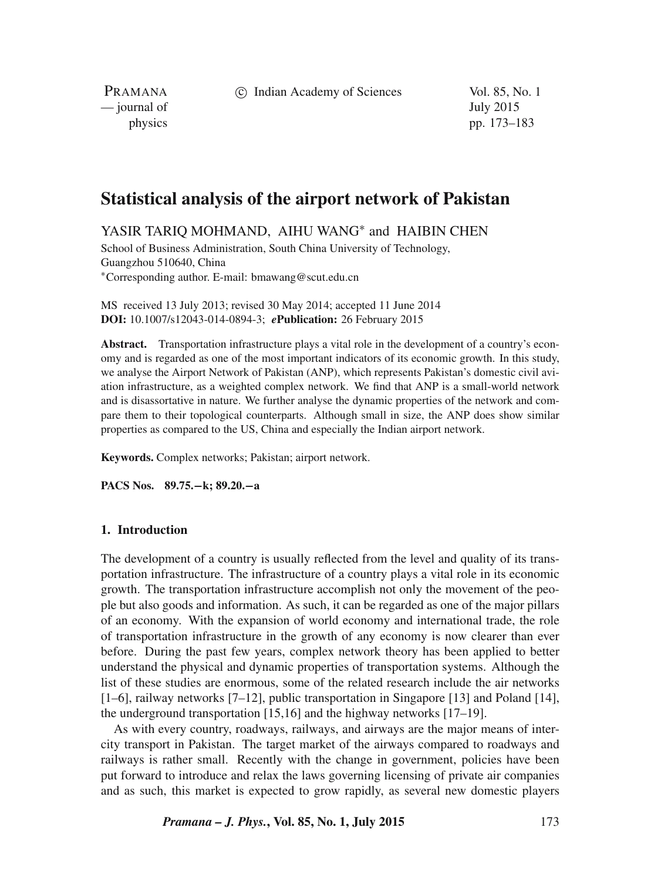c Indian Academy of Sciences Vol. 85, No. 1

PRAMANA — journal of July 2015

physics pp. 173–183

# **Statistical analysis of the airport network of Pakistan**

YASIR TARIQ MOHMAND, AIHU WANG<sup>\*</sup> and HAIBIN CHEN

School of Business Administration, South China University of Technology, Guangzhou 510640, China <sup>∗</sup>Corresponding author. E-mail: bmawang@scut.edu.cn

MS received 13 July 2013; revised 30 May 2014; accepted 11 June 2014 **DOI:** 10.1007/s12043-014-0894-3; *e***Publication:** 26 February 2015

**Abstract.** Transportation infrastructure plays a vital role in the development of a country's economy and is regarded as one of the most important indicators of its economic growth. In this study, we analyse the Airport Network of Pakistan (ANP), which represents Pakistan's domestic civil aviation infrastructure, as a weighted complex network. We find that ANP is a small-world network and is disassortative in nature. We further analyse the dynamic properties of the network and compare them to their topological counterparts. Although small in size, the ANP does show similar properties as compared to the US, China and especially the Indian airport network.

**Keywords.** Complex networks; Pakistan; airport network.

**PACS Nos. 89.75.**−**k; 89.20.**−**a**

# **1. Introduction**

The development of a country is usually reflected from the level and quality of its transportation infrastructure. The infrastructure of a country plays a vital role in its economic growth. The transportation infrastructure accomplish not only the movement of the people but also goods and information. As such, it can be regarded as one of the major pillars of an economy. With the expansion of world economy and international trade, the role of transportation infrastructure in the growth of any economy is now clearer than ever before. During the past few years, complex network theory has been applied to better understand the physical and dynamic properties of transportation systems. Although the list of these studies are enormous, some of the related research include the air networks [1–6], railway networks [7–12], public transportation in Singapore [13] and Poland [14], the underground transportation [15,16] and the highway networks [17–19].

As with every country, roadways, railways, and airways are the major means of intercity transport in Pakistan. The target market of the airways compared to roadways and railways is rather small. Recently with the change in government, policies have been put forward to introduce and relax the laws governing licensing of private air companies and as such, this market is expected to grow rapidly, as several new domestic players

*Pramana – J. Phys.***, Vol. 85, No. 1, July 2015** 173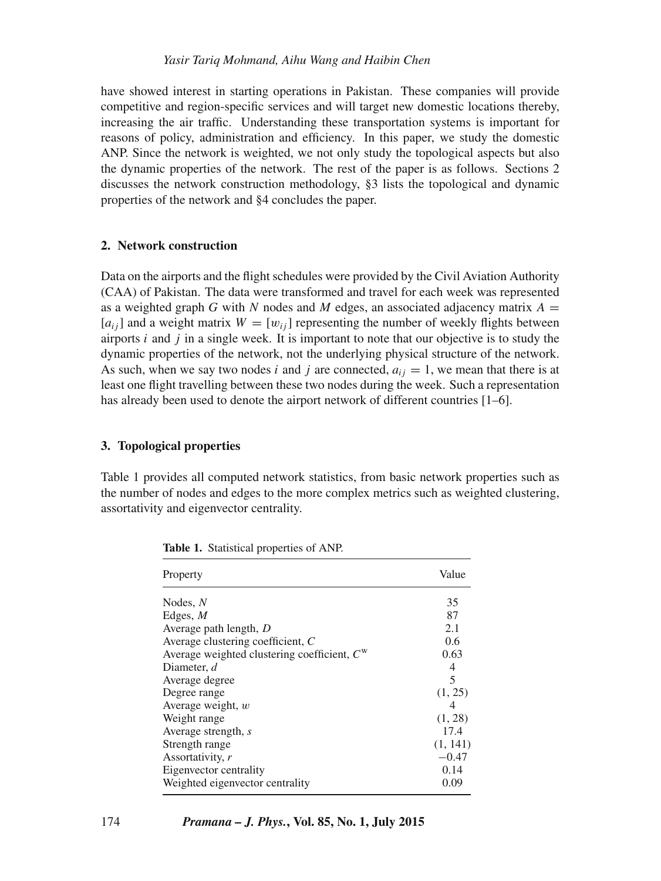have showed interest in starting operations in Pakistan. These companies will provide competitive and region-specific services and will target new domestic locations thereby, increasing the air traffic. Understanding these transportation systems is important for reasons of policy, administration and efficiency. In this paper, we study the domestic ANP. Since the network is weighted, we not only study the topological aspects but also the dynamic properties of the network. The rest of the paper is as follows. Sections 2 discusses the network construction methodology, §3 lists the topological and dynamic properties of the network and §4 concludes the paper.

# **2. Network construction**

Data on the airports and the flight schedules were provided by the Civil Aviation Authority (CAA) of Pakistan. The data were transformed and travel for each week was represented as a weighted graph G with N nodes and M edges, an associated adjacency matrix  $A =$  $[a_{ij}]$  and a weight matrix  $W = [w_{ij}]$  representing the number of weekly flights between airports  $i$  and  $j$  in a single week. It is important to note that our objective is to study the dynamic properties of the network, not the underlying physical structure of the network. As such, when we say two nodes i and j are connected,  $a_{ij} = 1$ , we mean that there is at least one flight travelling between these two nodes during the week. Such a representation has already been used to denote the airport network of different countries [1–6].

# **3. Topological properties**

Table 1 provides all computed network statistics, from basic network properties such as the number of nodes and edges to the more complex metrics such as weighted clustering, assortativity and eigenvector centrality.

| Property                                      | Value    |
|-----------------------------------------------|----------|
| Nodes, $N$                                    | 35       |
| Edges, $M$                                    | 87       |
| Average path length, $D$                      | 2.1      |
| Average clustering coefficient, C             | 0.6      |
| Average weighted clustering coefficient, $Cw$ | 0.63     |
| Diameter, d                                   | 4        |
| Average degree                                | 5        |
| Degree range                                  | (1, 25)  |
| Average weight, $w$                           | 4        |
| Weight range                                  | (1, 28)  |
| Average strength, $s$                         | 17.4     |
| Strength range                                | (1, 141) |
| Assortativity, r                              | $-0.47$  |
| Eigenvector centrality                        | 0.14     |
| Weighted eigenvector centrality               | 0.09     |

**Table 1.** Statistical properties of ANP.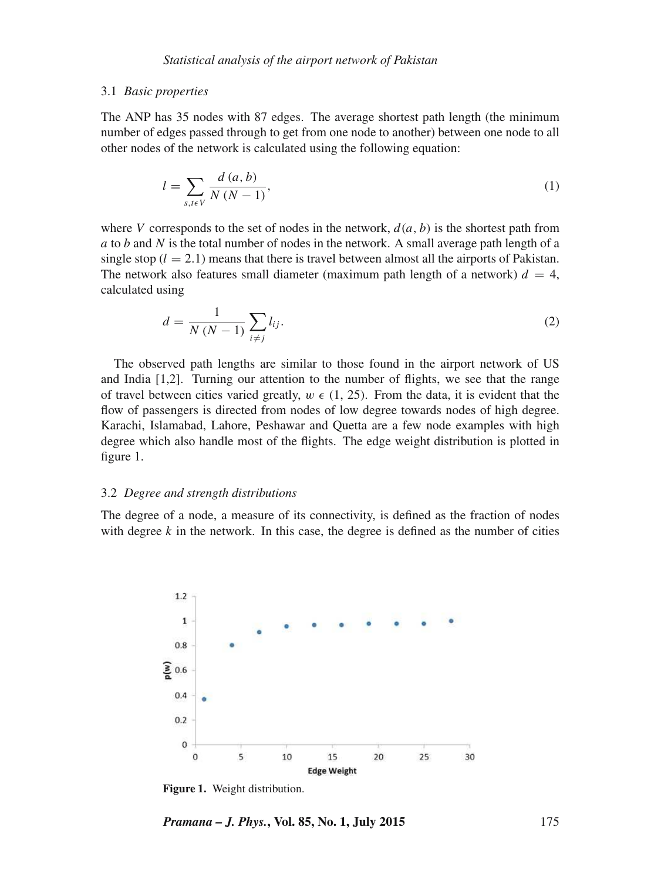#### 3.1 *Basic properties*

The ANP has 35 nodes with 87 edges. The average shortest path length (the minimum number of edges passed through to get from one node to another) between one node to all other nodes of the network is calculated using the following equation:

$$
l = \sum_{s, t \in V} \frac{d(a, b)}{N (N - 1)},
$$
\n(1)

where V corresponds to the set of nodes in the network,  $d(a, b)$  is the shortest path from a to b and N is the total number of nodes in the network. A small average path length of a single stop  $(l = 2.1)$  means that there is travel between almost all the airports of Pakistan. The network also features small diameter (maximum path length of a network)  $d = 4$ , calculated using

$$
d = \frac{1}{N(N-1)} \sum_{i \neq j} l_{ij}.
$$
 (2)

The observed path lengths are similar to those found in the airport network of US and India [1,2]. Turning our attention to the number of flights, we see that the range of travel between cities varied greatly,  $w \in (1, 25)$ . From the data, it is evident that the flow of passengers is directed from nodes of low degree towards nodes of high degree. Karachi, Islamabad, Lahore, Peshawar and Quetta are a few node examples with high degree which also handle most of the flights. The edge weight distribution is plotted in figure 1.

#### 3.2 *Degree and strength distributions*

The degree of a node, a measure of its connectivity, is defined as the fraction of nodes with degree  $k$  in the network. In this case, the degree is defined as the number of cities



**Figure 1.** Weight distribution.

*Pramana – J. Phys.***, Vol. 85, No. 1, July 2015** 175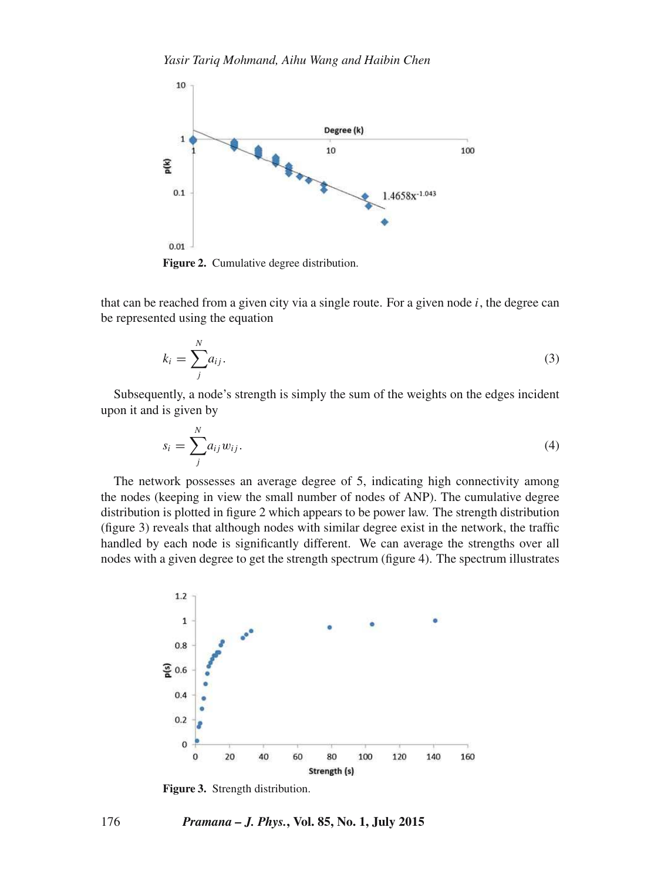

that can be reached from a given city via a single route. For a given node  $i$ , the degree can be represented using the equation

$$
k_i = \sum_{j}^{N} a_{ij}.
$$
\n<sup>(3)</sup>

Subsequently, a node's strength is simply the sum of the weights on the edges incident upon it and is given by

$$
s_i = \sum_j^N a_{ij} w_{ij}.
$$
\n<sup>(4)</sup>

The network possesses an average degree of 5, indicating high connectivity among the nodes (keeping in view the small number of nodes of ANP). The cumulative degree distribution is plotted in figure 2 which appears to be power law. The strength distribution (figure 3) reveals that although nodes with similar degree exist in the network, the traffic handled by each node is significantly different. We can average the strengths over all nodes with a given degree to get the strength spectrum (figure 4). The spectrum illustrates



**Figure 3.** Strength distribution.

## 176 *Pramana – J. Phys.***, Vol. 85, No. 1, July 2015**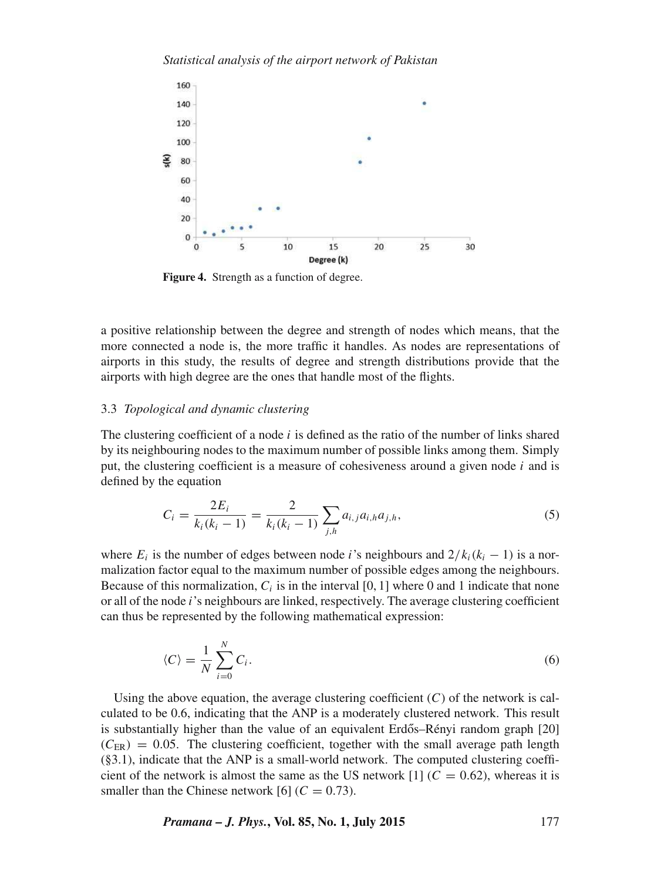

**Figure 4.** Strength as a function of degree.

a positive relationship between the degree and strength of nodes which means, that the more connected a node is, the more traffic it handles. As nodes are representations of airports in this study, the results of degree and strength distributions provide that the airports with high degree are the ones that handle most of the flights.

## 3.3 *Topological and dynamic clustering*

The clustering coefficient of a node  $i$  is defined as the ratio of the number of links shared by its neighbouring nodes to the maximum number of possible links among them. Simply put, the clustering coefficient is a measure of cohesiveness around a given node i and is defined by the equation

$$
C_i = \frac{2E_i}{k_i(k_i - 1)} = \frac{2}{k_i(k_i - 1)} \sum_{j,h} a_{i,j} a_{i,h} a_{j,h},
$$
\n(5)

where  $E_i$  is the number of edges between node *i*'s neighbours and  $2/k_i(k_i - 1)$  is a normalization factor equal to the maximum number of possible edges among the neighbours. Because of this normalization,  $C_i$  is in the interval [0, 1] where 0 and 1 indicate that none or all of the node i's neighbours are linked, respectively. The average clustering coefficient can thus be represented by the following mathematical expression:

$$
\langle C \rangle = \frac{1}{N} \sum_{i=0}^{N} C_i.
$$
 (6)

Using the above equation, the average clustering coefficient  $(C)$  of the network is calculated to be 0.6, indicating that the ANP is a moderately clustered network. This result is substantially higher than the value of an equivalent Erdős–Rényi random graph [20]  $(C_{ER}) = 0.05$ . The clustering coefficient, together with the small average path length (§3.1), indicate that the ANP is a small-world network. The computed clustering coefficient of the network is almost the same as the US network [1] ( $C = 0.62$ ), whereas it is smaller than the Chinese network [6]  $(C = 0.73)$ .

*Pramana – J. Phys.***, Vol. 85, No. 1, July 2015** 177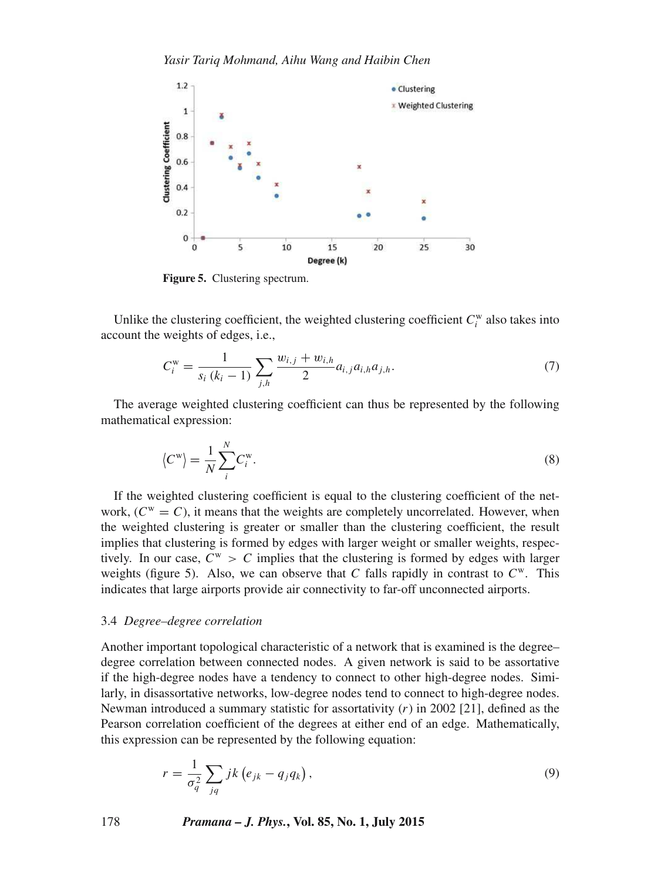*Yasir Tariq Mohmand, Aihu Wang and Haibin Chen*



**Figure 5.** Clustering spectrum.

Unlike the clustering coefficient, the weighted clustering coefficient  $C_i^w$  also takes into account the weights of edges, i.e.,

$$
C_i^{\mathbf{w}} = \frac{1}{s_i (k_i - 1)} \sum_{j,h} \frac{w_{i,j} + w_{i,h}}{2} a_{i,j} a_{i,h} a_{j,h}.
$$
 (7)

The average weighted clustering coefficient can thus be represented by the following mathematical expression:

$$
\langle C^{\mathbf{w}} \rangle = \frac{1}{N} \sum_{i}^{N} C_{i}^{\mathbf{w}}.
$$
 (8)

If the weighted clustering coefficient is equal to the clustering coefficient of the network,  $(C^w = C)$ , it means that the weights are completely uncorrelated. However, when the weighted clustering is greater or smaller than the clustering coefficient, the result implies that clustering is formed by edges with larger weight or smaller weights, respectively. In our case,  $C^w > C$  implies that the clustering is formed by edges with larger weights (figure 5). Also, we can observe that C falls rapidly in contrast to  $C<sup>w</sup>$ . This indicates that large airports provide air connectivity to far-off unconnected airports.

## 3.4 *Degree–degree correlation*

Another important topological characteristic of a network that is examined is the degree– degree correlation between connected nodes. A given network is said to be assortative if the high-degree nodes have a tendency to connect to other high-degree nodes. Similarly, in disassortative networks, low-degree nodes tend to connect to high-degree nodes. Newman introduced a summary statistic for assortativity  $(r)$  in 2002 [21], defined as the Pearson correlation coefficient of the degrees at either end of an edge. Mathematically, this expression can be represented by the following equation:

$$
r = \frac{1}{\sigma_q^2} \sum_{jq} jk \left( e_{jk} - q_j q_k \right),\tag{9}
$$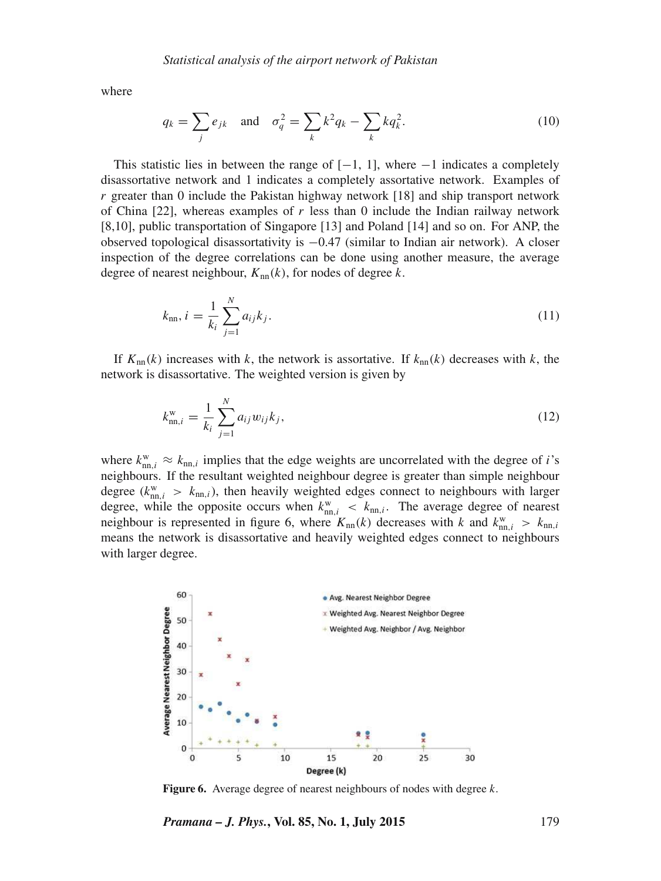where

$$
q_k = \sum_j e_{jk} \quad \text{and} \quad \sigma_q^2 = \sum_k k^2 q_k - \sum_k k q_k^2. \tag{10}
$$

This statistic lies in between the range of  $[-1, 1]$ , where  $-1$  indicates a completely disassortative network and 1 indicates a completely assortative network. Examples of  $r$  greater than 0 include the Pakistan highway network [18] and ship transport network of China  $[22]$ , whereas examples of r less than 0 include the Indian railway network [8,10], public transportation of Singapore [13] and Poland [14] and so on. For ANP, the observed topological disassortativity is  $-0.47$  (similar to Indian air network). A closer inspection of the degree correlations can be done using another measure, the average degree of nearest neighbour,  $K_{nn}(k)$ , for nodes of degree k.

$$
k_{\rm nn}, i = \frac{1}{k_i} \sum_{j=1}^{N} a_{ij} k_j.
$$
 (11)

If  $K_{nn}(k)$  increases with k, the network is assortative. If  $k_{nn}(k)$  decreases with k, the network is disassortative. The weighted version is given by

$$
k_{\text{nn},i}^{\text{w}} = \frac{1}{k_i} \sum_{j=1}^{N} a_{ij} w_{ij} k_j,
$$
\n(12)

where  $k_{nn,i}^{\text{w}} \approx k_{nn,i}$  implies that the edge weights are uncorrelated with the degree of *i*'s neighbours. If the resultant weighted neighbour degree is greater than simple neighbour degree ( $k_{\text{nn},i}^{\text{w}} > k_{\text{nn},i}$ ), then heavily weighted edges connect to neighbours with larger degree, while the opposite occurs when  $k_{nn,i}^w$  <  $k_{nn,i}$ . The average degree of nearest neighbour is represented in figure 6, where  $K_{nn}(k)$  decreases with k and  $k_{nn,i}^{\text{w}} > k_{nn,i}$ means the network is disassortative and heavily weighted edges connect to neighbours with larger degree.



Figure 6. Average degree of nearest neighbours of nodes with degree k.

*Pramana – J. Phys.***, Vol. 85, No. 1, July 2015** 179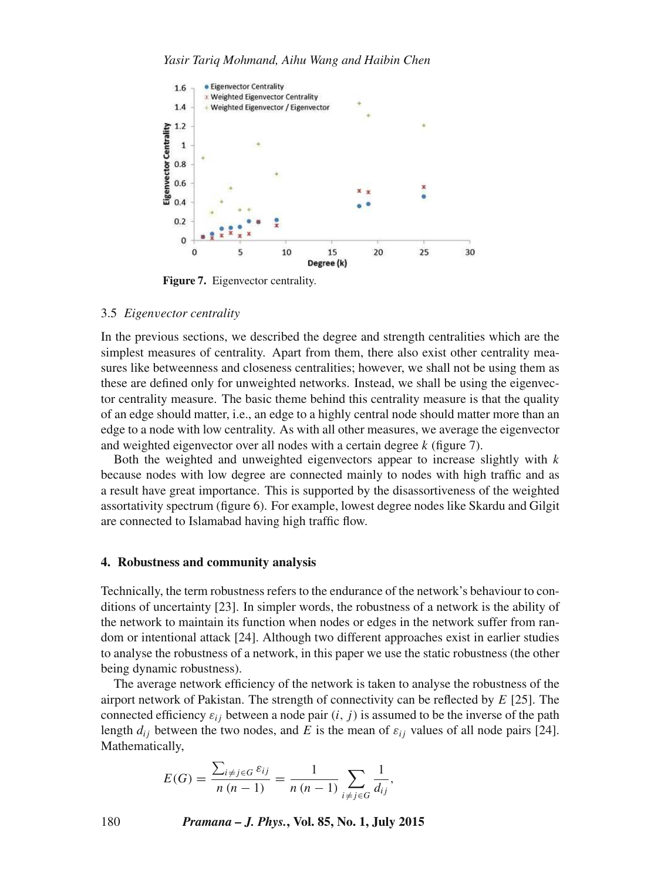

**Figure 7.** Eigenvector centrality.

#### 3.5 *Eigen*v*ector centrality*

In the previous sections, we described the degree and strength centralities which are the simplest measures of centrality. Apart from them, there also exist other centrality measures like betweenness and closeness centralities; however, we shall not be using them as these are defined only for unweighted networks. Instead, we shall be using the eigenvector centrality measure. The basic theme behind this centrality measure is that the quality of an edge should matter, i.e., an edge to a highly central node should matter more than an edge to a node with low centrality. As with all other measures, we average the eigenvector and weighted eigenvector over all nodes with a certain degree k (figure 7).

Both the weighted and unweighted eigenvectors appear to increase slightly with  $k$ because nodes with low degree are connected mainly to nodes with high traffic and as a result have great importance. This is supported by the disassortiveness of the weighted assortativity spectrum (figure 6). For example, lowest degree nodes like Skardu and Gilgit are connected to Islamabad having high traffic flow.

#### **4. Robustness and community analysis**

Technically, the term robustness refers to the endurance of the network's behaviour to conditions of uncertainty [23]. In simpler words, the robustness of a network is the ability of the network to maintain its function when nodes or edges in the network suffer from random or intentional attack [24]. Although two different approaches exist in earlier studies to analyse the robustness of a network, in this paper we use the static robustness (the other being dynamic robustness).

The average network efficiency of the network is taken to analyse the robustness of the airport network of Pakistan. The strength of connectivity can be reflected by  $E$  [25]. The connected efficiency  $\varepsilon_{ij}$  between a node pair  $(i, j)$  is assumed to be the inverse of the path length  $d_{ij}$  between the two nodes, and E is the mean of  $\varepsilon_{ij}$  values of all node pairs [24]. Mathematically,

$$
E(G) = \frac{\sum_{i \neq j \in G} \varepsilon_{ij}}{n (n-1)} = \frac{1}{n (n-1)} \sum_{i \neq j \in G} \frac{1}{d_{ij}},
$$

180 *Pramana – J. Phys.***, Vol. 85, No. 1, July 2015**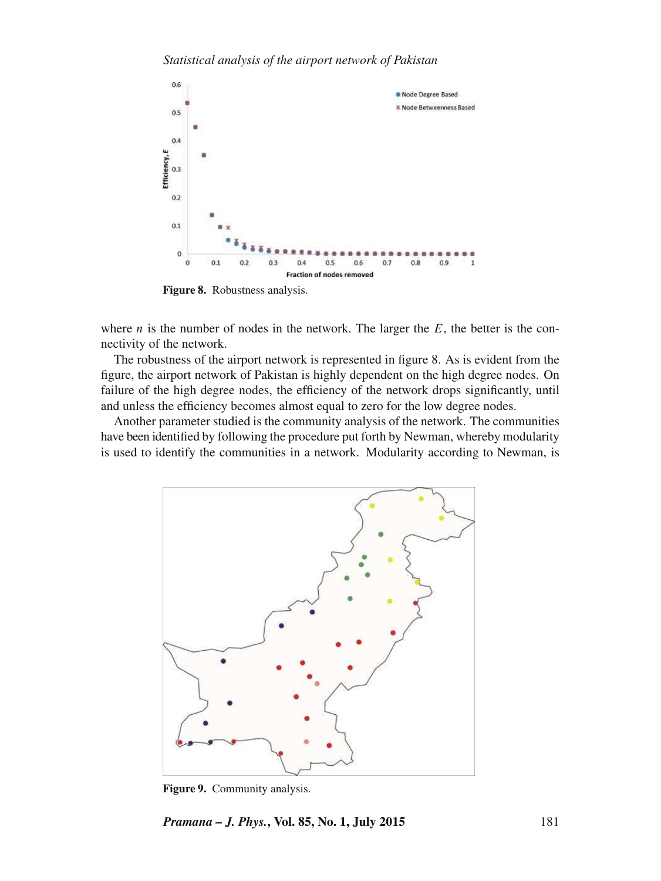

**Figure 8.** Robustness analysis.

where  $n$  is the number of nodes in the network. The larger the  $E$ , the better is the connectivity of the network.

The robustness of the airport network is represented in figure 8. As is evident from the figure, the airport network of Pakistan is highly dependent on the high degree nodes. On failure of the high degree nodes, the efficiency of the network drops significantly, until and unless the efficiency becomes almost equal to zero for the low degree nodes.

Another parameter studied is the community analysis of the network. The communities have been identified by following the procedure put forth by Newman, whereby modularity is used to identify the communities in a network. Modularity according to Newman, is



**Figure 9.** Community analysis.

*Pramana – J. Phys.***, Vol. 85, No. 1, July 2015** 181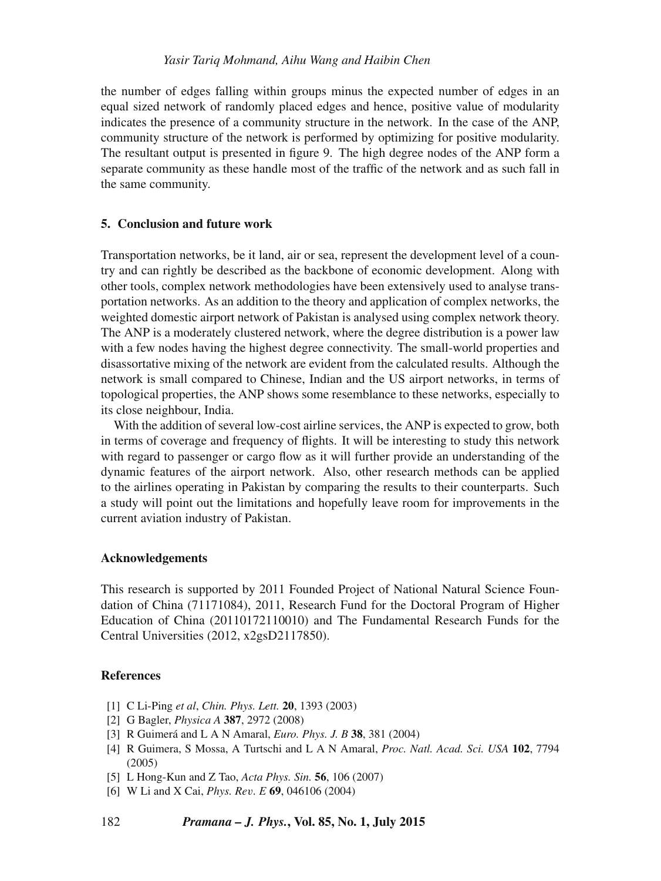the number of edges falling within groups minus the expected number of edges in an equal sized network of randomly placed edges and hence, positive value of modularity indicates the presence of a community structure in the network. In the case of the ANP, community structure of the network is performed by optimizing for positive modularity. The resultant output is presented in figure 9. The high degree nodes of the ANP form a separate community as these handle most of the traffic of the network and as such fall in the same community.

# **5. Conclusion and future work**

Transportation networks, be it land, air or sea, represent the development level of a country and can rightly be described as the backbone of economic development. Along with other tools, complex network methodologies have been extensively used to analyse transportation networks. As an addition to the theory and application of complex networks, the weighted domestic airport network of Pakistan is analysed using complex network theory. The ANP is a moderately clustered network, where the degree distribution is a power law with a few nodes having the highest degree connectivity. The small-world properties and disassortative mixing of the network are evident from the calculated results. Although the network is small compared to Chinese, Indian and the US airport networks, in terms of topological properties, the ANP shows some resemblance to these networks, especially to its close neighbour, India.

With the addition of several low-cost airline services, the ANP is expected to grow, both in terms of coverage and frequency of flights. It will be interesting to study this network with regard to passenger or cargo flow as it will further provide an understanding of the dynamic features of the airport network. Also, other research methods can be applied to the airlines operating in Pakistan by comparing the results to their counterparts. Such a study will point out the limitations and hopefully leave room for improvements in the current aviation industry of Pakistan.

### **Acknowledgements**

This research is supported by 2011 Founded Project of National Natural Science Foundation of China (71171084), 2011, Research Fund for the Doctoral Program of Higher Education of China (20110172110010) and The Fundamental Research Funds for the Central Universities (2012, x2gsD2117850).

# **References**

- [1] C Li-Ping *et al*, *Chin. Phys. Lett.* **20**, 1393 (2003)
- [2] G Bagler, *Physica A* **387**, 2972 (2008)
- [3] R Guimerá and L A N Amaral, *Euro. Phys. J. B* **38**, 381 (2004)
- [4] R Guimera, S Mossa, A Turtschi and L A N Amaral, *Proc. Natl. Acad. Sci. USA* **102**, 7794 (2005)
- [5] L Hong-Kun and Z Tao, *Acta Phys. Sin.* **56**, 106 (2007)
- [6] W Li and X Cai, *Phys. Re*v*. E* **69**, 046106 (2004)